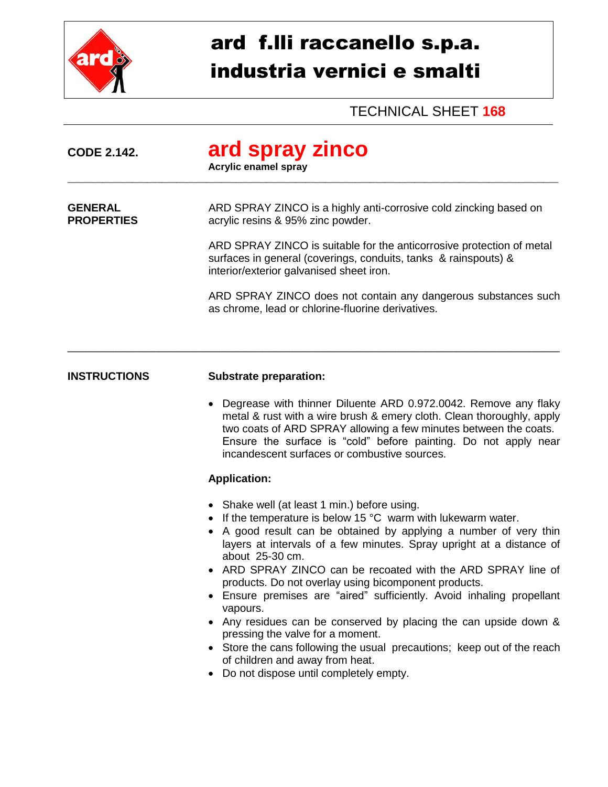

## ard f.lli raccanello s.p.a. industria vernici e smalti

## TECHNICAL SHEET **168**

| <b>CODE 2.142.</b>                  | ard spray zinco<br><b>Acrylic enamel spray</b>                                                                                                                                       |
|-------------------------------------|--------------------------------------------------------------------------------------------------------------------------------------------------------------------------------------|
| <b>GENERAL</b><br><b>PROPERTIES</b> | ARD SPRAY ZINCO is a highly anti-corrosive cold zincking based on<br>acrylic resins & 95% zinc powder.                                                                               |
|                                     | ARD SPRAY ZINCO is suitable for the anticorrosive protection of metal<br>surfaces in general (coverings, conduits, tanks & rainspouts) &<br>interior/exterior galvanised sheet iron. |
|                                     | ARD SPRAY ZINCO does not contain any dangerous substances such<br>as chrome, lead or chlorine-fluorine derivatives.                                                                  |
|                                     |                                                                                                                                                                                      |

## **INSTRUCTIONS Substrate preparation:**

 Degrease with thinner Diluente ARD 0.972.0042. Remove any flaky metal & rust with a wire brush & emery cloth. Clean thoroughly, apply two coats of ARD SPRAY allowing a few minutes between the coats. Ensure the surface is "cold" before painting. Do not apply near incandescent surfaces or combustive sources.

## **Application:**

- Shake well (at least 1 min.) before using.
- $\bullet$  If the temperature is below 15 °C warm with lukewarm water.
- A good result can be obtained by applying a number of very thin layers at intervals of a few minutes. Spray upright at a distance of about 25-30 cm.
- ARD SPRAY ZINCO can be recoated with the ARD SPRAY line of products. Do not overlay using bicomponent products.
- Ensure premises are "aired" sufficiently. Avoid inhaling propellant vapours.
- Any residues can be conserved by placing the can upside down & pressing the valve for a moment.
- Store the cans following the usual precautions; keep out of the reach of children and away from heat.
- Do not dispose until completely empty.